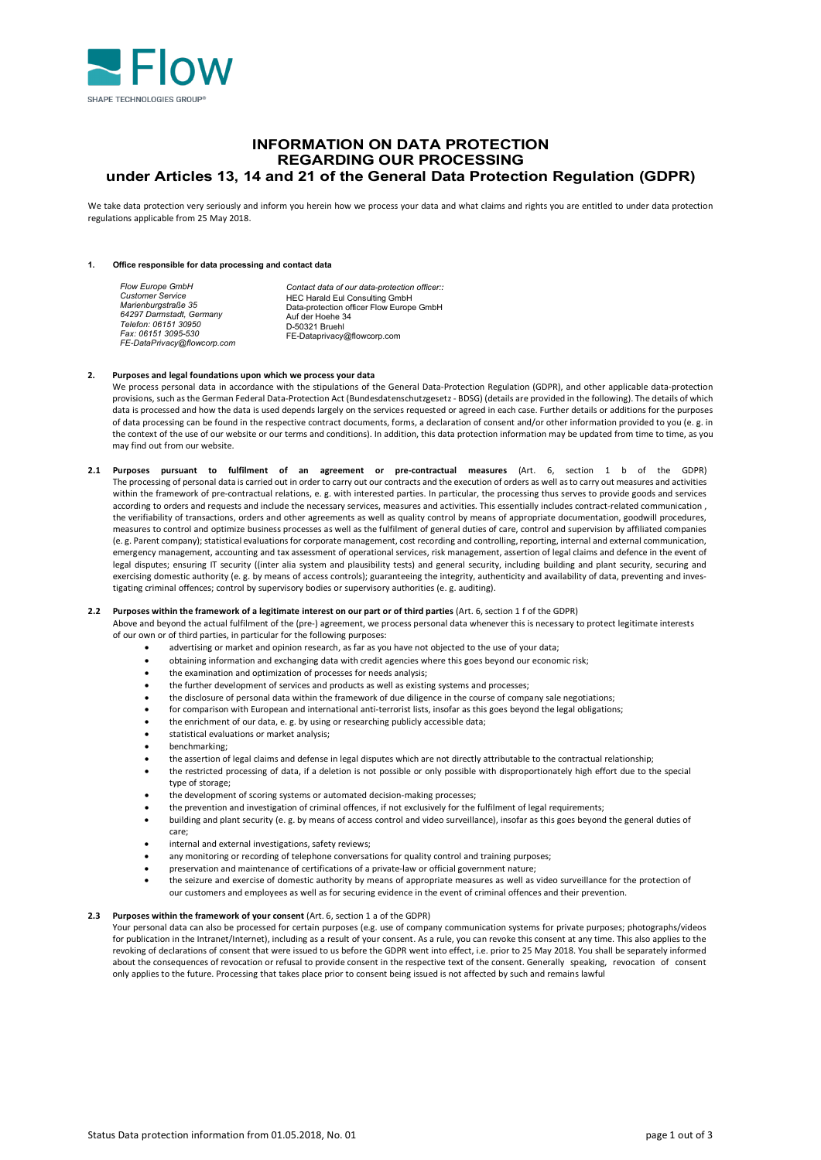

# **INFORMATION ON DATA PROTECTION REGARDING OUR PROCESSING under Articles 13, 14 and 21 of the General Data Protection Regulation (GDPR)**

We take data protection very seriously and inform you herein how we process your data and what claims and rights you are entitled to under data protection regulations applicable from 25 May 2018.

#### **1. Office responsible for data processing and contact data**

#### **2. Purposes and legal foundations upon which we process your data**

- We process personal data in accordance with the stipulations of the General Data-Protection Regulation (GDPR), and other applicable data-protection provisions, such as the German Federal Data-Protection Act (Bundesdatenschutzgesetz - BDSG) (details are provided in the following). The details of which data is processed and how the data is used depends largely on the services requested or agreed in each case. Further details or additions for the purposes of data processing can be found in the respective contract documents, forms, a declaration of consent and/or other information provided to you (e. g. in the context of the use of our website or our terms and conditions). In addition, this data protection information may be updated from time to time, as you may find out from our website.
- **2.1 Purposes pursuant to fulfilment of an agreement or pre-contractual measures** (Art. 6, section 1 b of the GDPR) The processing of personal data is carried out in order to carry out our contracts and the execution of orders as well as to carry out measures and activities within the framework of pre-contractual relations, e. g. with interested parties. In particular, the processing thus serves to provide goods and services according to orders and requests and include the necessary services, measures and activities. This essentially includes contract-related communication , the verifiability of transactions, orders and other agreements as well as quality control by means of appropriate documentation, goodwill procedures, measures to control and optimize business processes as well as the fulfilment of general duties of care, control and supervision by affiliated companies (e. g. Parent company); statistical evaluations for corporate management, cost recording and controlling, reporting, internal and external communication, emergency management, accounting and tax assessment of operational services, risk management, assertion of legal claims and defence in the event of legal disputes; ensuring IT security ((inter alia system and plausibility tests) and general security, including building and plant security, securing and exercising domestic authority (e.g. by means of access controls); guaranteeing the integrity, authenticity and availability of data, preventing and investigating criminal offences; control by supervisory bodies or supervisory authorities (e. g. auditing).

# **2.2 Purposes within the framework of a legitimate interest on our part or of third parties** (Art. 6, section 1 f of the GDPR)

- Above and beyond the actual fulfilment of the (pre-) agreement, we process personal data whenever this is necessary to protect legitimate interests of our own or of third parties, in particular for the following purposes:
	- advertising or market and opinion research, as far as you have not objected to the use of your data;
	- obtaining information and exchanging data with credit agencies where this goes beyond our economic risk;
	- the examination and optimization of processes for needs analysis;
	- the further development of services and products as well as existing systems and processes;
	- the disclosure of personal data within the framework of due diligence in the course of company sale negotiations;
	- for comparison with European and international anti-terrorist lists, insofar as this goes beyond the legal obligations;
	- the enrichment of our data, e. g. by using or researching publicly accessible data;
	- statistical evaluations or market analysis;
	- benchmarking;
	- the assertion of legal claims and defense in legal disputes which are not directly attributable to the contractual relationship;
	- the restricted processing of data, if a deletion is not possible or only possible with disproportionately high effort due to the special type of storage;
	- the development of scoring systems or automated decision-making processes;
	- the prevention and investigation of criminal offences, if not exclusively for the fulfilment of legal requirements;
	- building and plant security (e. g. by means of access control and video surveillance), insofar as this goes beyond the general duties of care;
	- internal and external investigations, safety reviews:
	- any monitoring or recording of telephone conversations for quality control and training purposes;
	- preservation and maintenance of certifications of a private-law or official government nature;
	- the seizure and exercise of domestic authority by means of appropriate measures as well as video surveillance for the protection of our customers and employees as well as for securing evidence in the event of criminal offences and their prevention.

# **2.3 Purposes within the framework of your consent** (Art. 6, section 1 a of the GDPR)

Your personal data can also be processed for certain purposes (e.g. use of company communication systems for private purposes; photographs/videos for publication in the Intranet/Internet), including as a result of your consent. As a rule, you can revoke this consent at any time. This also applies to the revoking of declarations of consent that were issued to us before the GDPR went into effect, i.e. prior to 25 May 2018. You shall be separately informed about the consequences of revocation or refusal to provide consent in the respective text of the consent. Generally speaking, revocation of consent only applies to the future. Processing that takes place prior to consent being issued is not affected by such and remains lawful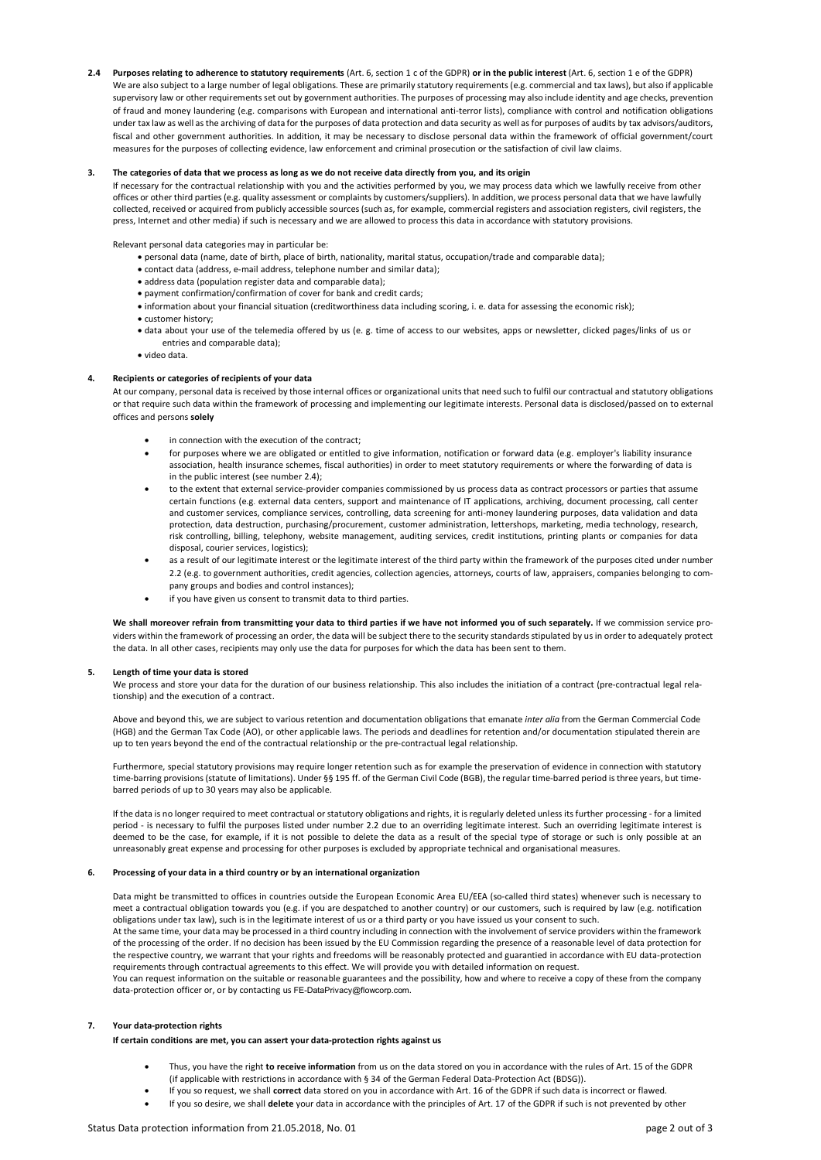**2.4 Purposes relating to adherence to statutory requirements** (Art. 6, section 1 c of the GDPR) **or in the public interest** (Art. 6, section 1 e of the GDPR) We are also subject to a large number of legal obligations. These are primarily statutory requirements (e.g. commercial and tax laws), but also if applicable supervisory law or other requirements set out by government authorities. The purposes of processing may also include identity and age checks, prevention of fraud and money laundering (e.g. comparisons with European and international anti-terror lists), compliance with control and notification obligations under tax law as well as the archiving of data for the purposes of data protection and data security as well as for purposes of audits by tax advisors/auditors, fiscal and other government authorities. In addition, it may be necessary to disclose personal data within the framework of official government/court measures for the purposes of collecting evidence, law enforcement and criminal prosecution or the satisfaction of civil law claims.

# **3. The categories of data that we process as long as we do not receive data directly from you, and its origin**

If necessary for the contractual relationship with you and the activities performed by you, we may process data which we lawfully receive from other offices or other third parties (e.g. quality assessment or complaints by customers/suppliers). In addition, we process personal data that we have lawfully collected, received or acquired from publicly accessible sources (such as, for example, commercial registers and association registers, civil registers, the press, Internet and other media) if such is necessary and we are allowed to process this data in accordance with statutory provisions.

Relevant personal data categories may in particular be:

- personal data (name, date of birth, place of birth, nationality, marital status, occupation/trade and comparable data);
- contact data (address, e-mail address, telephone number and similar data);
- address data (population register data and comparable data);
- payment confirmation/confirmation of cover for bank and credit cards;
- information about your financial situation (creditworthiness data including scoring, i. e. data for assessing the economic risk);
- customer history;
- data about your use of the telemedia offered by us (e. g. time of access to our websites, apps or newsletter, clicked pages/links of us or entries and comparable data);
- video data.

#### **4. Recipients or categories of recipients of your data**

At our company, personal data is received by those internal offices or organizational units that need such to fulfil our contractual and statutory obligations or that require such data within the framework of processing and implementing our legitimate interests. Personal data is disclosed/passed on to external offices and persons **solely**

- in connection with the execution of the contract;
- for purposes where we are obligated or entitled to give information, notification or forward data (e.g. employer's liability insurance association, health insurance schemes, fiscal authorities) in order to meet statutory requirements or where the forwarding of data is in the public interest (see number 2.4);
- to the extent that external service-provider companies commissioned by us process data as contract processors or parties that assume certain functions (e.g. external data centers, support and maintenance of IT applications, archiving, document processing, call center and customer services, compliance services, controlling, data screening for anti-money laundering purposes, data validation and data protection, data destruction, purchasing/procurement, customer administration, lettershops, marketing, media technology, research, risk controlling, billing, telephony, website management, auditing services, credit institutions, printing plants or companies for data disposal, courier services, logistics);
- as a result of our legitimate interest or the legitimate interest of the third party within the framework of the purposes cited under number 2.2 (e.g. to government authorities, credit agencies, collection agencies, attorneys, courts of law, appraisers, companies belonging to company groups and bodies and control instances);
- if you have given us consent to transmit data to third parties.

We shall moreover refrain from transmitting your data to third parties if we have not informed you of such separately. If we commission service providers within the framework of processing an order, the data will be subject there to the security standards stipulated by us in order to adequately protect the data. In all other cases, recipients may only use the data for purposes for which the data has been sent to them.

#### **5. Length of time your data is stored**

We process and store your data for the duration of our business relationship. This also includes the initiation of a contract (pre-contractual legal relationship) and the execution of a contract.

Above and beyond this, we are subject to various retention and documentation obligations that emanate *inter alia* from the German Commercial Code (HGB) and the German Tax Code (AO), or other applicable laws. The periods and deadlines for retention and/or documentation stipulated therein are up to ten years beyond the end of the contractual relationship or the pre-contractual legal relationship.

Furthermore, special statutory provisions may require longer retention such as for example the preservation of evidence in connection with statutory time-barring provisions (statute of limitations). Under §§ 195 ff. of the German Civil Code (BGB), the regular time-barred period is three years, but timebarred periods of up to 30 years may also be applicable.

If the data is no longer required to meet contractual or statutory obligations and rights, it is regularly deleted unless its further processing - for a limited period - is necessary to fulfil the purposes listed under number 2.2 due to an overriding legitimate interest. Such an overriding legitimate interest is deemed to be the case, for example, if it is not possible to delete the data as a result of the special type of storage or such is only possible at an unreasonably great expense and processing for other purposes is excluded by appropriate technical and organisational measures.

#### **6. Processing of your data in a third country or by an international organization**

Data might be transmitted to offices in countries outside the European Economic Area EU/EEA (so-called third states) whenever such is necessary to meet a contractual obligation towards you (e.g. if you are despatched to another country) or our customers, such is required by law (e.g. notification obligations under tax law), such is in the legitimate interest of us or a third party or you have issued us your consent to such.

At the same time, your data may be processed in a third country including in connection with the involvement of service providers within the framework of the processing of the order. If no decision has been issued by the EU Commission regarding the presence of a reasonable level of data protection for the respective country, we warrant that your rights and freedoms will be reasonably protected and guarantied in accordance with EU data-protection requirements through contractual agreements to this effect. We will provide you with detailed information on request.

You can request information on the suitable or reasonable guarantees and the possibility, how and where to receive a copy of these from the company data-protection officer or, or by contacting us [FE-DataPrivacy@flowcorp.com](mailto:FE-DataPrivacy@flowcorp.com).

#### **7. Your data-protection rights**

**If certain conditions are met, you can assert your data-protection rights against us**

- Thus, you have the right **to receive information** from us on the data stored on you in accordance with the rules of Art. 15 of the GDPR (if applicable with restrictions in accordance with § 34 of the German Federal Data-Protection Act (BDSG)).
- If you so request, we shall **correct** data stored on you in accordance with Art. 16 of the GDPR if such data is incorrect or flawed.
- If you so desire, we shall **delete** your data in accordance with the principles of Art. 17 of the GDPR if such is not prevented by other